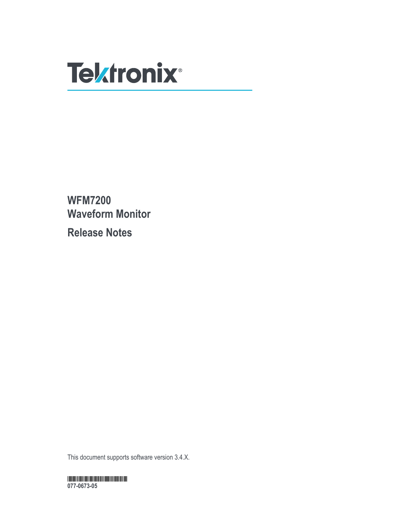

**WFM7200 Waveform Monitor Release Notes**

This document supports software version 3.4.X.

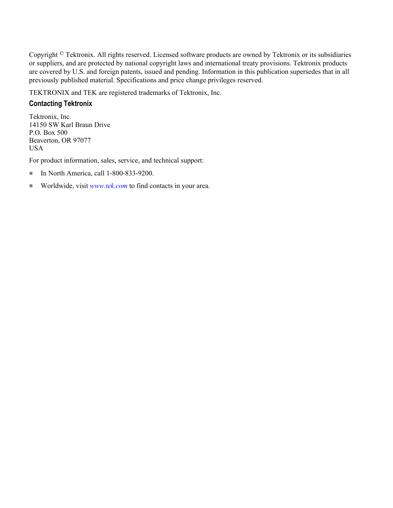Copyright © Tektronix. All rights reserved. Licensed software products are owned by Tektronix or its subsidiaries or suppliers, and are protected by national copyright laws and international treaty provisions. Tektronix products are covered by U.S. and foreign patents, issued and pending. Information in this publication supersedes that in all previously published material. Specifications and price change privileges reserved.

TEKTRONIX and TEK are registered trademarks of Tektronix, Inc.

## **Contacting Tektronix**

Tektronix, Inc. 14150 SW Karl Braun Drive P.O. Box 500 Beaverton, OR 97077 USA

For product information, sales, service, and technical support:

- In North America, call 1-800-833-9200.
- Worldwide, visit *[www.tek.com](http://www.tek.com)* to find contacts in your area.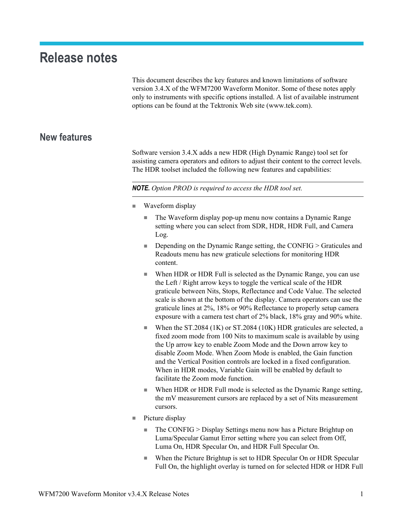## **Release notes**

This document describes the key features and known limitations of software version 3.4.X of the WFM7200 Waveform Monitor. Some of these notes apply only to instruments with specific options installed. A list of available instrument options can be found at the Tektronix Web site (www.tek.com).

## **New features**

Software version 3.4.X adds a new HDR (High Dynamic Range) tool set for assisting camera operators and editors to adjust their content to the correct levels. The HDR toolset included the following new features and capabilities:

*NOTE. Option PROD is required to access the HDR tool set.*

- Waveform display
	- The Waveform display pop-up menu now contains a Dynamic Range setting where you can select from SDR, HDR, HDR Full, and Camera Log.
	- Depending on the Dynamic Range setting, the CONFIG > Graticules and Readouts menu has new graticule selections for monitoring HDR content.
	- When HDR or HDR Full is selected as the Dynamic Range, you can use the Left / Right arrow keys to toggle the vertical scale of the HDR graticule between Nits, Stops, Reflectance and Code Value. The selected scale is shown at the bottom of the display. Camera operators can use the graticule lines at 2%, 18% or 90% Reflectance to properly setup camera exposure with a camera test chart of 2% black, 18% gray and 90% white.
	- When the ST.2084 (1K) or ST.2084 (10K) HDR graticules are selected, a fixed zoom mode from 100 Nits to maximum scale is available by using the Up arrow key to enable Zoom Mode and the Down arrow key to disable Zoom Mode. When Zoom Mode is enabled, the Gain function and the Vertical Position controls are locked in a fixed configuration. When in HDR modes, Variable Gain will be enabled by default to facilitate the Zoom mode function.
	- When HDR or HDR Full mode is selected as the Dynamic Range setting, the mV measurement cursors are replaced by a set of Nits measurement cursors.
- Picture display
	- The CONFIG > Display Settings menu now has a Picture Brightup on Luma/Specular Gamut Error setting where you can select from Off, Luma On, HDR Specular On, and HDR Full Specular On.
	- When the Picture Brightup is set to HDR Specular On or HDR Specular Full On, the highlight overlay is turned on for selected HDR or HDR Full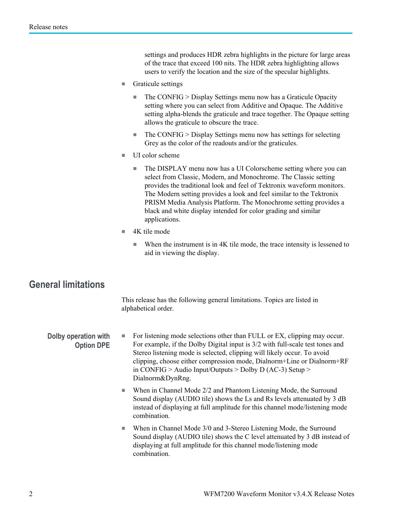settings and produces HDR zebra highlights in the picture for large areas of the trace that exceed 100 nits. The HDR zebra highlighting allows users to verify the location and the size of the specular highlights.

- Graticule settings
	- The CONFIG > Display Settings menu now has a Graticule Opacity setting where you can select from Additive and Opaque. The Additive setting alpha-blends the graticule and trace together. The Opaque setting allows the graticule to obscure the trace.
	- $\blacksquare$  The CONFIG > Display Settings menu now has settings for selecting Grey as the color of the readouts and/or the graticules.
- UI color scheme
	- The DISPLAY menu now has a UI Colorscheme setting where you can select from Classic, Modern, and Monochrome. The Classic setting provides the traditional look and feel of Tektronix waveform monitors. The Modern setting provides a look and feel similar to the Tektronix PRISM Media Analysis Platform. The Monochrome setting provides a black and white display intended for color grading and similar applications.
- 4K tile mode
	- When the instrument is in 4K tile mode, the trace intensity is lessened to aid in viewing the display.

## **General limitations**

This release has the following general limitations. Topics are listed in alphabetical order.

**Dolby operation with Option DPE** ■ For listening mode selections other than FULL or EX, clipping may occur. For example, if the Dolby Digital input is 3/2 with full-scale test tones and Stereo listening mode is selected, clipping will likely occur. To avoid clipping, choose either compression mode, Dialnorm+Line or Dialnorm+RF in CONFIG > Audio Input/Outputs > Dolby D (AC-3) Setup > Dialnorm&DynRng.

- When in Channel Mode 2/2 and Phantom Listening Mode, the Surround Sound display (AUDIO tile) shows the Ls and Rs levels attenuated by 3 dB instead of displaying at full amplitude for this channel mode/listening mode combination.
- When in Channel Mode 3/0 and 3-Stereo Listening Mode, the Surround Sound display (AUDIO tile) shows the C level attenuated by 3 dB instead of displaying at full amplitude for this channel mode/listening mode combination.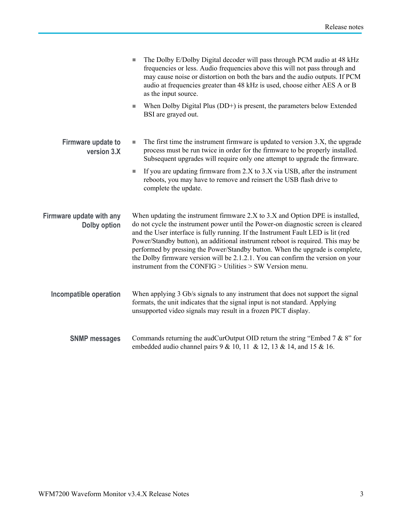|                                                 | The Dolby E/Dolby Digital decoder will pass through PCM audio at 48 kHz<br>n.<br>frequencies or less. Audio frequencies above this will not pass through and<br>may cause noise or distortion on both the bars and the audio outputs. If PCM<br>audio at frequencies greater than 48 kHz is used, choose either AES A or B<br>as the input source.                                                                                                                                                                                                                             |
|-------------------------------------------------|--------------------------------------------------------------------------------------------------------------------------------------------------------------------------------------------------------------------------------------------------------------------------------------------------------------------------------------------------------------------------------------------------------------------------------------------------------------------------------------------------------------------------------------------------------------------------------|
|                                                 | When Dolby Digital Plus (DD+) is present, the parameters below Extended<br>$\Box$<br>BSI are grayed out.                                                                                                                                                                                                                                                                                                                                                                                                                                                                       |
| Firmware update to<br>version 3.X               | The first time the instrument firmware is updated to version 3.X, the upgrade<br>$\mathcal{L}_{\mathcal{A}}$<br>process must be run twice in order for the firmware to be properly installed.<br>Subsequent upgrades will require only one attempt to upgrade the firmware.                                                                                                                                                                                                                                                                                                    |
|                                                 | If you are updating firmware from 2.X to 3.X via USB, after the instrument<br>$\overline{\phantom{a}}$<br>reboots, you may have to remove and reinsert the USB flash drive to<br>complete the update.                                                                                                                                                                                                                                                                                                                                                                          |
| Firmware update with any<br><b>Dolby option</b> | When updating the instrument firmware 2.X to 3.X and Option DPE is installed,<br>do not cycle the instrument power until the Power-on diagnostic screen is cleared<br>and the User interface is fully running. If the Instrument Fault LED is lit (red<br>Power/Standby button), an additional instrument reboot is required. This may be<br>performed by pressing the Power/Standby button. When the upgrade is complete,<br>the Dolby firmware version will be 2.1.2.1. You can confirm the version on your<br>instrument from the CONFIG $>$ Utilities $>$ SW Version menu. |
| Incompatible operation                          | When applying 3 Gb/s signals to any instrument that does not support the signal<br>formats, the unit indicates that the signal input is not standard. Applying<br>unsupported video signals may result in a frozen PICT display.                                                                                                                                                                                                                                                                                                                                               |
| <b>SNMP messages</b>                            | Commands returning the audCurOutput OID return the string "Embed $7 & 8$ " for<br>embedded audio channel pairs 9 & 10, 11 & 12, 13 & 14, and 15 & 16.                                                                                                                                                                                                                                                                                                                                                                                                                          |